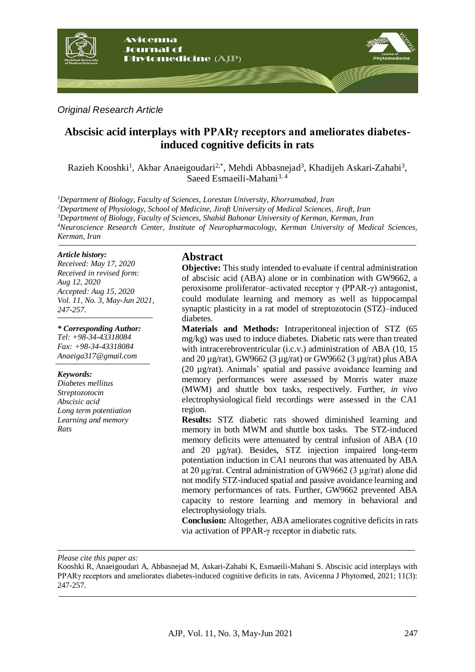

#### *Original Research Article*

# **Abscisic acid interplays with PPARγ receptors and ameliorates diabetesinduced cognitive deficits in rats**

Razieh Kooshki<sup>1</sup>, Akbar Anaeigoudari<sup>2,\*</sup>, Mehdi Abbasnejad<sup>3</sup>, Khadijeh Askari-Zahabi<sup>3</sup>, Saeed Esmaeili-Mahani<sup>3, 4</sup>

*Department of Biology, Faculty of Sciences, Lorestan University, Khorramabad, Iran Department of Physiology, School of Medicine, Jiroft University of Medical Sciences, Jiroft, Iran Department of Biology, Faculty of Sciences, Shahid Bahonar University of Kerman, Kerman, Iran Neuroscience Research Center, Institute of Neuropharmacology, Kerman University of Medical Sciences, Kerman, Iran*

#### *Article history:*

*Received: May 17, 2020 Received in revised form: Aug 12, 2020 Accepted: Aug 15, 2020 Vol. 11, No. 3, May-Jun 2021, 247-257.*

*\* Corresponding Author:*

*Tel: +98-34-43318084 Fax: +98-34-43318084 [Anaeiga317@gmail.com](mailto:Anaeiga317@gmail.com)*

#### *Keywords:*

*Diabetes mellitus Streptozotocin Abscisic acid Long term potentiation Learning and memory Rats*

#### **Abstract**

**Objective:** This study intended to evaluate if central administration of abscisic acid (ABA) alone or in combination with GW9662, a peroxisome proliferator–activated receptor γ (PPAR-γ) antagonist, could modulate learning and memory as well as hippocampal synaptic plasticity in a rat model of streptozotocin (STZ)–induced diabetes.

**Materials and Methods:** Intraperitoneal injection of STZ (65 mg/kg) was used to induce diabetes. Diabetic rats were than treated with intracerebroventricular (i.c.v.) administration of ABA (10, 15 and 20 µg/rat), GW9662 (3 µg/rat) or GW9662 (3 µg/rat) plus ABA (20 µg/rat). Animals' spatial and passive avoidance learning and memory performances were assessed by Morris water maze (MWM) and shuttle box tasks, respectively. Further, *in vivo* electrophysiological field recordings were assessed in the CA1 region.

**Results:** STZ diabetic rats showed diminished learning and memory in both MWM and shuttle box tasks. The STZ-induced memory deficits were attenuated by central infusion of ABA (10 and 20 µg/rat). Besides, STZ injection impaired long-term potentiation induction in CA1 neurons that was attenuated by ABA at 20 μg/rat. Central administration of GW9662 (3 µg/rat) alone did not modify STZ-induced spatial and passive avoidance learning and memory performances of rats. Further, GW9662 prevented ABA capacity to restore learning and memory in behavioral and electrophysiology trials.

**Conclusion:** Altogether, ABA ameliorates cognitive deficits in rats via activation of PPAR-γ receptor in diabetic rats.

*Please cite this paper as:* 

Kooshki R, Anaeigoudari A, Abbasnejad M, Askari-Zahabi K, Esmaeili-Mahani S. Abscisic acid interplays with PPARγ receptors and ameliorates diabetes-induced cognitive deficits in rats. Avicenna J Phytomed, 2021; 11(3): 247-257.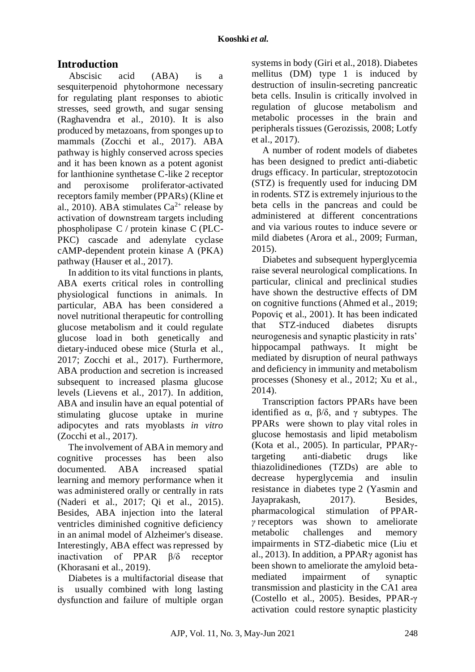# **Introduction**

Abscisic acid (ABA) is a sesquiterpenoid phytohormone necessary for regulating plant responses to abiotic stresses, seed growth, and sugar sensing (Raghavendra et al., 2010). It is also produced by metazoans, from sponges up to mammals (Zocchi et al., 2017). ABA pathway is highly conserved across species and it has been known as a potent agonist for lanthionine synthetase C-like 2 receptor and peroxisome proliferator-activated receptors family member (PPARs) (Kline et al., 2010). ABA stimulates  $Ca^{2+}$  release by activation of downstream targets including phospholipase C / protein kinase C (PLC-PKC) cascade and adenylate cyclase cAMP-dependent protein kinase A (PKA) pathway (Hauser et al., 2017).

In addition to its vital functions in plants, ABA exerts critical roles in controlling physiological functions in animals. In particular, ABA has been considered a novel nutritional therapeutic for controlling glucose metabolism and it could regulate glucose load in both genetically and dietary-induced obese mice (Sturla et al., 2017; Zocchi et al., 2017). Furthermore, ABA production and secretion is increased subsequent to increased plasma glucose levels (Lievens et al., 2017). In addition, ABA and insulin have an equal potential of stimulating glucose uptake in murine adipocytes and rats myoblasts *in vitro* (Zocchi et al., 2017).

The involvement of ABA in memory and cognitive processes has been also documented. ABA increased spatial learning and memory performance when it was administered orally or centrally in rats (Naderi et al., 2017; Qi et al., 2015). Besides, ABA injection into the lateral ventricles diminished cognitive deficiency in an animal model of Alzheimer's disease. Interestingly, ABA effect was repressed by inactivation of PPAR β/δ receptor (Khorasani et al., 2019).

Diabetes is a multifactorial disease that is usually combined with long lasting dysfunction and failure of multiple organ

systems in body (Giri et al., 2018). Diabetes mellitus (DM) type 1 is induced by destruction of insulin-secreting pancreatic beta cells. Insulin is critically involved in regulation of glucose metabolism and metabolic processes in the brain and peripherals tissues (Gerozissis, 2008; Lotfy et al., 2017).

A number of rodent models of diabetes has been designed to predict anti-diabetic drugs efficacy. In particular, streptozotocin (STZ) is frequently used for inducing DM in rodents. STZ is extremely injurious to the beta cells in the pancreas and could be administered at different concentrations and via various routes to induce severe or mild diabetes (Arora et al., 2009; Furman, 2015).

Diabetes and subsequent hyperglycemia raise several neurological complications. In particular, clinical and preclinical studies have shown the destructive effects of DM on cognitive functions (Ahmed et al., 2019; Popoviç et al., 2001). It has been indicated that STZ-induced diabetes disrupts neurogenesis and synaptic plasticity in rats' hippocampal pathways. It might be mediated by disruption of neural pathways and deficiency in immunity and metabolism processes (Shonesy et al., 2012; Xu et al., 2014).

Transcription factors PPARs have been identified as  $\alpha$ ,  $\beta/\delta$ , and γ subtypes. The PPARs were shown to play vital roles in glucose hemostasis and lipid metabolism (Kota et al., 2005). In particular, PPARγtargeting anti-diabetic drugs like thiazolidinediones (TZDs) are able to decrease hyperglycemia and insulin resistance in diabetes type 2 (Yasmin and Jayaprakash, 2017). Besides, pharmacological stimulation of PPAR*γ* receptors was shown to ameliorate metabolic challenges and memory impairments in STZ-diabetic mice (Liu et al., 2013). In addition, a PPARγ agonist has been shown to ameliorate the amyloid betamediated impairment of synaptic transmission and plasticity in the CA1 area (Costello et al., 2005). Besides, PPAR-γ activation could restore synaptic plasticity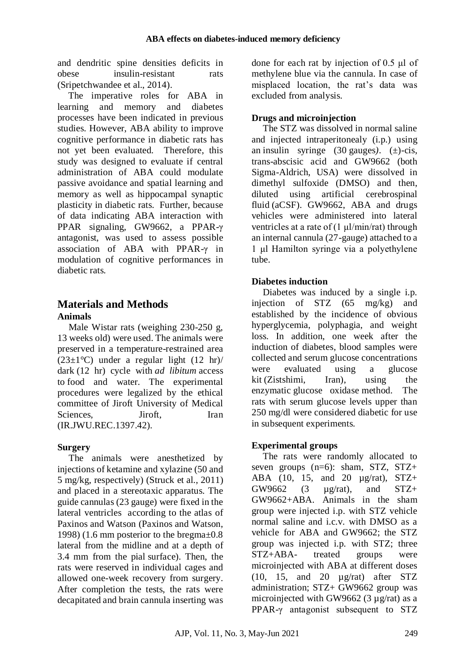and dendritic spine densities deficits in obese insulin-resistant rats (Sripetchwandee et al., 2014).

The imperative roles for ABA in learning and memory and diabetes processes have been indicated in previous studies. However, ABA ability to improve cognitive performance in diabetic rats has not yet been evaluated. Therefore, this study was designed to evaluate if central administration of ABA could modulate passive avoidance and spatial learning and memory as well as hippocampal synaptic plasticity in diabetic rats. Further, because of data indicating ABA interaction with PPAR signaling, GW9662, a PPAR-γ antagonist, was used to assess possible association of ABA with PPAR-γ in modulation of cognitive performances in diabetic rats.

# **Materials and Methods**

## **Animals**

Male Wistar rats (weighing 230-250 g, 13 weeks old) were used. The animals were preserved in a temperature-restrained area ( $23\pm1$ °C) under a regular light (12 hr)/ dark (12 hr) cycle with *ad libitum* access to food and water. The experimental procedures were legalized by the ethical committee of Jiroft University of Medical Sciences, Jiroft, Iran (IR.JWU.REC.1397.42).

## **Surgery**

The animals were anesthetized by injections of ketamine and xylazine (50 and 5 mg/kg, respectively) (Struck et al., 2011) and placed in a stereotaxic apparatus. The guide cannulas (23 gauge) were fixed in the lateral ventricles according to the atlas of Paxinos and Watson (Paxinos and Watson, 1998) (1.6 mm posterior to the bregma±0.8 lateral from the midline and at a depth of 3.4 mm from the pial surface). Then, the rats were reserved in individual cages and allowed one-week recovery from surgery. After completion the tests, the rats were decapitated and brain cannula inserting was done for each rat by injection of 0.5 μl of methylene blue via the cannula. In case of misplaced location, the rat's data was excluded from analysis.

## **Drugs and microinjection**

The STZ was dissolved in normal saline and injected intraperitonealy (i.p.) using an insulin syringe (30 gauges*)*. (±)-cis, trans-abscisic acid and GW9662 (both Sigma-Aldrich, USA) were dissolved in dimethyl sulfoxide (DMSO) and then, diluted using artificial cerebrospinal fluid (aCSF). GW9662, ABA and drugs vehicles were administered into lateral ventricles at a rate of (1 μl/min/rat) through an internal cannula (27-gauge) attached to a 1 μl Hamilton syringe via a polyethylene tube.

## **Diabetes induction**

Diabetes was induced by a single i.p. injection of STZ (65 mg/kg) and established by the incidence of obvious hyperglycemia, polyphagia, and weight loss. In addition, one week after the induction of diabetes, blood samples were collected and serum glucose concentrations were evaluated using a glucose kit (Zistshimi, Iran), using the enzymatic glucose oxidase method. The rats with serum glucose levels upper than 250 mg/dl were considered diabetic for use in subsequent experiments.

## **Experimental groups**

The rats were randomly allocated to seven groups  $(n=6)$ : sham, STZ, STZ+ ABA (10, 15, and 20  $\mu$ g/rat), STZ+  $GW9662$  (3  $\mu$ g/rat), and STZ+ GW9662+ABA. Animals in the sham group were injected i.p. with STZ vehicle normal saline and i.c.v. with DMSO as a vehicle for ABA and GW9662; the STZ group was injected i.p. with STZ; three STZ+ABA- treated groups were microinjected with ABA at different doses (10, 15, and 20 µg/rat) after STZ administration; STZ+ GW9662 group was microinjected with GW9662 (3 µg/rat) as a PPAR-γ antagonist subsequent to STZ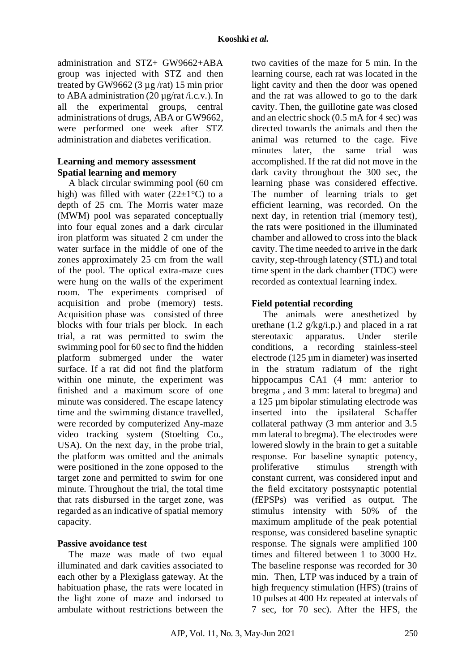administration and STZ+ GW9662+ABA group was injected with STZ and then treated by GW9662 (3 µg /rat) 15 min prior to ABA administration (20  $\mu$ g/rat/i.c.v.). In all the experimental groups, central administrations of drugs, ABA or GW9662, were performed one week after STZ administration and diabetes verification.

#### **Learning and memory assessment Spatial learning and memory**

A black circular swimming pool (60 cm high) was filled with water  $(22\pm1\degree C)$  to a depth of 25 cm. The Morris water maze (MWM) pool was separated conceptually into four equal zones and a dark circular iron platform was situated 2 cm under the water surface in the middle of one of the zones approximately 25 cm from the wall of the pool. The optical extra-maze cues were hung on the walls of the experiment room. The experiments comprised of acquisition and probe (memory) tests. Acquisition phase was consisted of three blocks with four trials per block. In each trial, a rat was permitted to swim the swimming pool for 60 sec to find the hidden platform submerged under the water surface. If a rat did not find the platform within one minute, the experiment was finished and a maximum score of one minute was considered. The escape latency time and the swimming distance travelled, were recorded by computerized Any-maze video tracking system (Stoelting Co., USA). On the next day, in the probe trial, the platform was omitted and the animals were positioned in the zone opposed to the target zone and permitted to swim for one minute. Throughout the trial, the total time that rats disbursed in the target zone, was regarded as an indicative of spatial memory capacity.

#### **Passive avoidance test**

The maze was made of two equal illuminated and dark cavities associated to each other by a Plexiglass gateway. At the habituation phase, the rats were located in the light zone of maze and indorsed to ambulate without restrictions between the

two cavities of the maze for 5 min. In the learning course, each rat was located in the light cavity and then the door was opened and the rat was allowed to go to the dark cavity. Then, the guillotine gate was closed and an electric shock (0.5 mA for 4 sec) was directed towards the animals and then the animal was returned to the cage. Five minutes later, the same trial was accomplished. If the rat did not move in the dark cavity throughout the 300 sec, the learning phase was considered effective. The number of learning trials to get efficient learning, was recorded. On the next day, in retention trial (memory test), the rats were positioned in the illuminated chamber and allowed to cross into the black cavity. The time needed to arrive in the dark cavity, step-through latency (STL) and total time spent in the dark chamber (TDC) were recorded as contextual learning index.

## **Field potential recording**

The animals were anesthetized by urethane  $(1.2 \frac{g}{kg/i.p.})$  and placed in a rat stereotaxic apparatus. Under sterile conditions*,* a recording stainless-steel electrode (125 µm in diameter) was inserted in the stratum radiatum of the right hippocampus CA1 (4 mm: anterior to bregma , and 3 mm: lateral to bregma) and a 125 µm bipolar stimulating electrode was inserted into the ipsilateral Schaffer collateral pathway (3 mm anterior and 3.5 mm lateral to bregma). The electrodes were lowered slowly in the brain to get a suitable response. For baseline synaptic potency, proliferative stimulus strength with constant current, was considered input and the field excitatory postsynaptic potential (fEPSPs) was verified as output. The stimulus intensity with 50% of the maximum amplitude of the peak potential response, was considered baseline synaptic response. The signals were amplified 100 times and filtered between 1 to 3000 Hz. The baseline response was recorded for 30 min. Then, LTP was induced by a train of high frequency stimulation (HFS) (trains of 10 pulses at 400 Hz repeated at intervals of 7 sec, for 70 sec). After the HFS, the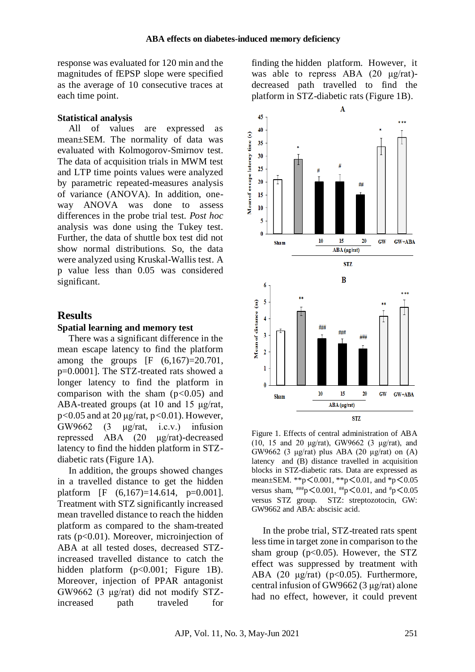response was evaluated for 120 min and the magnitudes of fEPSP slope were specified as the average of 10 consecutive traces at each time point.

#### **Statistical analysis**

All of values are expressed as mean±SEM. The normality of data was evaluated with Kolmogorov-Smirnov test. The data of acquisition trials in MWM test and LTP time points values were analyzed by parametric repeated-measures analysis of variance (ANOVA). In addition, oneway ANOVA was done to assess differences in the probe trial test. *Post hoc* analysis was done using the Tukey test. Further, the data of shuttle box test did not show normal distributions*.* So, the data were analyzed using Kruskal-Wallis test. A p value less than 0.05 was considered significant.

#### **Results**

#### **Spatial learning and memory test**

There was a significant difference in the mean escape latency to find the platform among the groups [F (6,167)=20.701, p=0.0001]. The STZ-treated rats showed a longer latency to find the platform in comparison with the sham (p*<*0.05) and ABA-treated groups (at 10 and 15 μg/rat, p*<*0.05 and at 20 μg/rat, p*<*0.01). However, GW9662 (3 μg/rat, i.c.v.) infusion repressed ABA (20 μg/rat)-decreased latency to find the hidden platform in STZdiabetic rats (Figure 1A).

In addition, the groups showed changes in a travelled distance to get the hidden platform [F (6,167)=14.614, p=0.001]. Treatment with STZ significantly increased mean travelled distance to reach the hidden platform as compared to the sham-treated rats (p<0.01). Moreover, microinjection of ABA at all tested doses, decreased STZincreased travelled distance to catch the hidden platform (p<0.001; Figure 1B). Moreover, injection of PPAR antagonist GW9662 (3 μg/rat) did not modify STZincreased path traveled for

finding the hidden platform. However, it was able to repress ABA (20 μg/rat) decreased path travelled to find the platform in STZ-diabetic rats (Figure 1B).



Figure 1. Effects of central administration of ABA (10, 15 and 20 μg/rat), GW9662 (3 μg/rat), and GW9662 (3 μg/rat) plus ABA (20 μg/rat) on (A) latency and (B) distance travelled in acquisition blocks in STZ-diabetic rats. Data are expressed as mean±SEM. \*\*p<0.001, \*\*p<0.01, and \*p<0.05 versus sham,  $^{***}p<0.001$ ,  $^{**}p<0.01$ , and  $^{*}p<0.05$ versus STZ group. STZ: streptozotocin, GW: GW9662 and ABA: abscisic acid.

In the probe trial, STZ-treated rats spent less time in target zone in comparison to the sham group ( $p<0.05$ ). However, the STZ effect was suppressed by treatment with ABA (20  $\mu$ g/rat) (p<0.05). Furthermore, central infusion of GW9662 (3 μg/rat) alone had no effect, however, it could prevent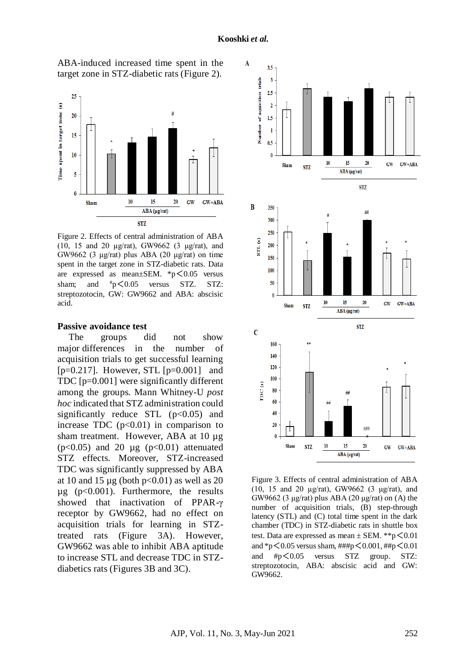

ABA-induced increased time spent in the target zone in STZ-diabetic rats (Figure 2).

Figure 2. Effects of central administration of ABA (10, 15 and 20 µg/rat), GW9662 (3 μg/rat), and GW9662 (3 μg/rat) plus ABA (20 μg/rat) on time spent in the target zone in STZ-diabetic rats. Data are expressed as mean $\pm$ SEM. \*p $\leq$ 0.05 versus sham; and  $\#p < 0.05$  versus STZ. STZ: streptozotocin, GW: GW9662 and ABA: abscisic acid.

#### **Passive avoidance test**

The groups did not show major differences in the number of acquisition trials to get successful learning [ $p=0.217$ ]. However, STL [ $p=0.001$ ] and TDC [p=0.001] were significantly different among the groups. Mann Whitney-U *post hoc* indicated that STZ administration could significantly reduce STL  $(p<0.05)$  and increase TDC  $(p<0.01)$  in comparison to sham treatment. However, ABA at 10 µg ( $p<0.05$ ) and 20  $\mu$ g ( $p<0.01$ ) attenuated STZ effects. Moreover, STZ-increased TDC was significantly suppressed by ABA at 10 and 15  $\mu$ g (both p<0.01) as well as 20  $\mu$ g (p<0.001). Furthermore, the results showed that inactivation of PPAR-γ receptor by GW9662, had no effect on acquisition trials for learning in STZtreated rats (Figure 3A). However, GW9662 was able to inhibit ABA aptitude to increase STL and decrease TDC in STZdiabetics rats (Figures 3B and 3C).



Figure 3. Effects of central administration of ABA (10, 15 and 20 µg/rat), GW9662 (3 μg/rat), and GW9662 (3 μg/rat) plus ABA (20 μg/rat) on (A) the number of acquisition trials, (B) step-through latency (STL) and (C) total time spent in the dark chamber (TDC) in STZ-diabetic rats in shuttle box test. Data are expressed as mean  $\pm$  SEM. \*\*p $\leq$  0.01 and \*p<0.05 versus sham, ###p<0.001, ##p<0.01 and #p<0.05 versus STZ group. STZ: streptozotocin, ABA: abscisic acid and GW: GW9662.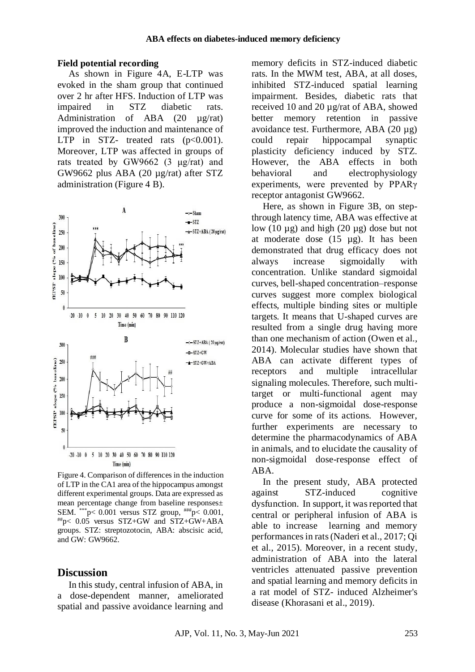#### **Field potential recording**

As shown in Figure 4A, E-LTP was evoked in the sham group that continued over 2 hr after HFS. Induction of LTP was impaired in STZ diabetic rats. Administration of ABA (20 µg/rat) improved the induction and maintenance of LTP in STZ- treated rats  $(p<0.001)$ . Moreover, LTP was affected in groups of rats treated by GW9662 (3 μg/rat) and GW9662 plus ABA (20 µg/rat) after STZ administration (Figure 4 B).



Figure 4. Comparison of differences in the induction of LTP in the CA1 area of the hippocampus amongst different experimental groups. Data are expressed as mean percentage change from baseline responses± SEM. \*\*\*p< 0.001 versus STZ group,  $^{***}$ p< 0.001, ##p< 0.05 versus STZ+GW and STZ+GW+ABA groups. STZ: streptozotocin, ABA: abscisic acid, and GW: GW9662.

#### **Discussion**

In this study, central infusion of ABA, in a dose-dependent manner, ameliorated spatial and passive avoidance learning and

memory deficits in STZ-induced diabetic rats. In the MWM test, ABA, at all doses, inhibited STZ-induced spatial learning impairment. Besides, diabetic rats that received 10 and 20 µg/rat of ABA, showed better memory retention in passive avoidance test. Furthermore, ABA (20 µg) could repair hippocampal synaptic plasticity deficiency induced by STZ. However, the ABA effects in both behavioral and electrophysiology experiments, were prevented by PPARγ receptor antagonist GW9662.

Here, as shown in Figure 3B, on stepthrough latency time, ABA was effective at low  $(10 \mu g)$  and high  $(20 \mu g)$  dose but not at moderate dose  $(15 \text{ µg})$ . It has been demonstrated that drug efficacy does not always increase sigmoidally with concentration. Unlike standard sigmoidal curves, bell-shaped concentration–response curves suggest more complex biological effects, multiple binding sites or multiple targets. It means that U-shaped curves are resulted from a single drug having more than one mechanism of action (Owen et al., 2014). Molecular studies have shown that ABA can activate different types of receptors and multiple intracellular signaling molecules. Therefore, such multitarget or multi-functional agent may produce a non-sigmoidal dose-response curve for some of its actions. However, further experiments are necessary to determine the pharmacodynamics of ABA in animals, and to elucidate the causality of non-sigmoidal dose-response effect of ABA.

In the present study, ABA protected against STZ-induced cognitive dysfunction. In support, it wasreported that central or peripheral infusion of ABA is able to increase learning and memory performances in rats (Naderi et al., 2017; Qi et al., 2015). Moreover, in a recent study, administration of ABA into the lateral ventricles attenuated passive prevention and spatial learning and memory deficits in a rat model of STZ- induced Alzheimer's disease (Khorasani et al., 2019).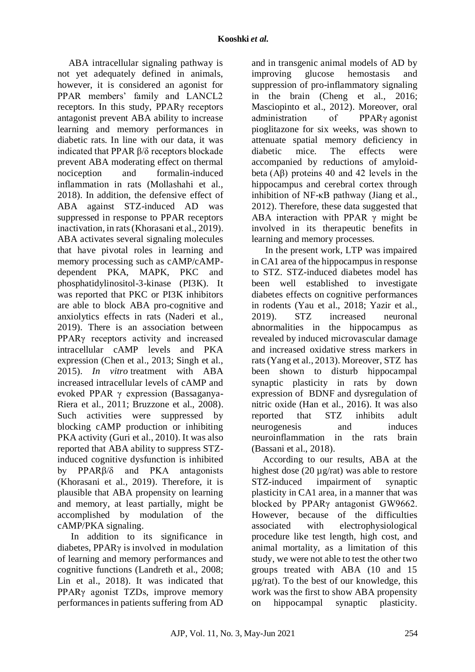ABA intracellular signaling pathway is not yet adequately defined in animals, however, it is considered an agonist for PPAR members' family and LANCL2 receptors. In this study, PPARγ receptors antagonist prevent ABA ability to increase learning and memory performances in diabetic rats. In line with our data, it was indicated that PPAR β/δ receptors blockade prevent ABA moderating effect on thermal nociception and formalin-induced inflammation in rats (Mollashahi et al., 2018). In addition, the defensive effect of ABA against STZ-induced AD was suppressed in response to PPAR receptors inactivation, in rats (Khorasani et al., 2019). ABA activates several signaling molecules that have pivotal roles in learning and memory processing such as cAMP/cAMPdependent PKA, MAPK, PKC and phosphatidylinositol-3-kinase (PI3K). It was reported that PKC or PI3K inhibitors are able to block ABA pro-cognitive and anxiolytics effects in rats (Naderi et al., 2019). There is an association between PPARγ receptors activity and increased intracellular cAMP levels and PKA expression (Chen et al., 2013; Singh et al., 2015). *In vitro* treatment with ABA increased intracellular levels of cAMP and evoked PPAR γ expression (Bassaganya-Riera et al., 2011; Bruzzone et al., 2008). Such activities were suppressed by blocking cAMP production or inhibiting PKA activity (Guri et al., 2010). It was also reported that ABA ability to suppress STZinduced cognitive dysfunction is inhibited by PPARβ/δ and PKA antagonists (Khorasani et al., 2019). Therefore, it is plausible that ABA propensity on learning and memory, at least partially, might be accomplished by modulation of the cAMP/PKA signaling.

In addition to its significance in diabetes, PPARγ is involved in modulation of learning and memory performances and cognitive functions (Landreth et al., 2008; Lin et al., 2018). It was indicated that PPARγ agonist TZDs, improve memory performances in patients suffering from AD and in transgenic animal models of AD by improving glucose hemostasis and suppression of pro-inflammatory signaling in the brain (Cheng et al., 2016; Masciopinto et al., 2012). Moreover, oral administration of PPARγ agonist pioglitazone for six weeks, was shown to attenuate spatial memory deficiency in diabetic mice. The effects were accompanied by reductions of amyloidbeta (Aβ) proteins 40 and 42 levels in the hippocampus and cerebral cortex through inhibition of NF-κB pathway (Jiang et al., 2012). Therefore, these data suggested that ABA interaction with PPAR  $\gamma$  might be involved in its therapeutic benefits in learning and memory processes.

In the present work, LTP was impaired in CA1 area of the hippocampus in response to STZ. STZ-induced diabetes model has been well established to investigate diabetes effects on cognitive performances in rodents (Yau et al., 2018; Yazir et al., 2019). STZ increased neuronal abnormalities in the hippocampus as revealed by induced microvascular damage and increased oxidative stress markers in rats (Yang et al., 2013). Moreover, STZ has been shown to disturb hippocampal synaptic plasticity in rats by down expression of BDNF and dysregulation of nitric oxide (Han et al., 2016). It was also reported that STZ inhibits adult neurogenesis and induces neuroinflammation in the rats brain (Bassani et al., 2018).

According to our results, ABA at the highest dose (20  $\mu$ g/rat) was able to restore STZ-induced impairment of synaptic plasticity in CA1 area, in a manner that was blocked by PPARγ antagonist GW9662. However, because of the difficulties associated with electrophysiological procedure like test length, high cost, and animal mortality, as a limitation of this study, we were not able to test the other two groups treated with ABA (10 and 15 µg/rat). To the best of our knowledge, this work was the first to show ABA propensity on hippocampal synaptic plasticity.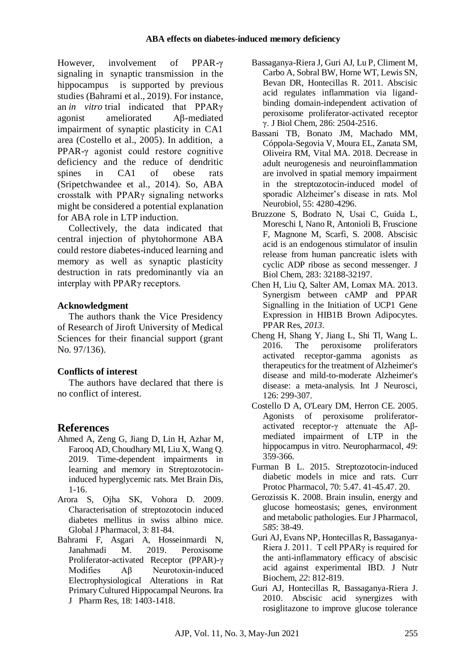However, involvement of PPAR-γ signaling in synaptic transmission in the hippocampus is supported by previous studies (Bahrami et al., 2019). For instance, an *in vitro* trial indicated that PPARγ agonist ameliorated Aβ-mediated impairment of synaptic plasticity in CA1 area (Costello et al., 2005). In addition, a PPAR-γ agonist could restore cognitive deficiency and the reduce of dendritic spines in CA1 of obese rats (Sripetchwandee et al., 2014). So, ABA crosstalk with PPARγ signaling networks might be considered a potential explanation for ABA role in LTP induction.

Collectively, the data indicated that central injection of phytohormone ABA could restore diabetes-induced learning and memory as well as synaptic plasticity destruction in rats predominantly via an interplay with PPARγ receptors.

## **Acknowledgment**

The authors thank the Vice Presidency of Research of Jiroft University of Medical Sciences for their financial support (grant No. 97/136).

# **Conflicts of interest**

The authors have declared that there is no conflict of interest.

# **References**

- Ahmed A, Zeng G, Jiang D, Lin H, Azhar M, Farooq AD, Choudhary MI, Liu X, Wang Q. 2019. Time-dependent impairments in learning and memory in Streptozotocininduced hyperglycemic rats. Met Brain Dis, 1-16.
- Arora S, Ojha SK, Vohora D. 2009. Characterisation of streptozotocin induced diabetes mellitus in swiss albino mice. Global J Pharmacol, 3: 81-84.
- Bahrami F, Asgari A, Hosseinmardi N, Janahmadi M. 2019. Peroxisome Proliferator-activated Receptor (PPAR)-γ Modifies Aβ Neurotoxin-induced Electrophysiological Alterations in Rat Primary Cultured Hippocampal Neurons. Ira J Pharm Res, 18: 1403-1418.
- Bassaganya-Riera J, Guri AJ, Lu P, Climent M, Carbo A, Sobral BW, Horne WT, Lewis SN, Bevan DR, Hontecillas R. 2011. Abscisic acid regulates inflammation via ligandbinding domain-independent activation of peroxisome proliferator-activated receptor γ. J Biol Chem, 286: 2504-2516.
- Bassani TB, Bonato JM, Machado MM, Cóppola-Segovia V, Moura EL, Zanata SM, Oliveira RM, Vital MA. 2018. Decrease in adult neurogenesis and neuroinflammation are involved in spatial memory impairment in the streptozotocin-induced model of sporadic Alzheimer's disease in rats. Mol Neurobiol, 55: 4280-4296.
- Bruzzone S, Bodrato N, Usai C, Guida L, Moreschi I, Nano R, Antonioli B, Fruscione F, Magnone M, Scarfì, S. 2008. Abscisic acid is an endogenous stimulator of insulin release from human pancreatic islets with cyclic ADP ribose as second messenger. J Biol Chem, 283: 32188-32197.
- Chen H, Liu Q, Salter AM, Lomax MA. 2013. Synergism between cAMP and PPAR Signalling in the Initiation of UCP1 Gene Expression in HIB1B Brown Adipocytes. PPAR Res, *2013*.
- Cheng H, Shang Y, Jiang L, Shi Tl, Wang L. 2016. The peroxisome proliferators activated receptor-gamma agonists as therapeutics for the treatment of Alzheimer's disease and mild-to-moderate Alzheimer's disease: a meta-analysis. Int J Neurosci, 126: 299-307.
- Costello D A, O'Leary DM, Herron CE. 2005. Agonists of peroxisome proliferatoractivated receptor-γ attenuate the Aβmediated impairment of LTP in the hippocampus in vitro. Neuropharmacol, *49*: 359-366.
- Furman B L. 2015. Streptozotocin‐induced diabetic models in mice and rats. Curr Protoc Pharmacol, 70: 5.47. 41-45.47. 20.
- Gerozissis K. 2008. Brain insulin, energy and glucose homeostasis; genes, environment and metabolic pathologies. Eur J Pharmacol, *585*: 38-49.
- Guri AJ, Evans NP, Hontecillas R, Bassaganya-Riera J. 2011. T cell PPARγ is required for the anti-inflammatory efficacy of abscisic acid against experimental IBD. J Nutr Biochem, *22*: 812-819.
- Guri AJ, Hontecillas R, Bassaganya-Riera J. 2010. Abscisic acid synergizes with rosiglitazone to improve glucose tolerance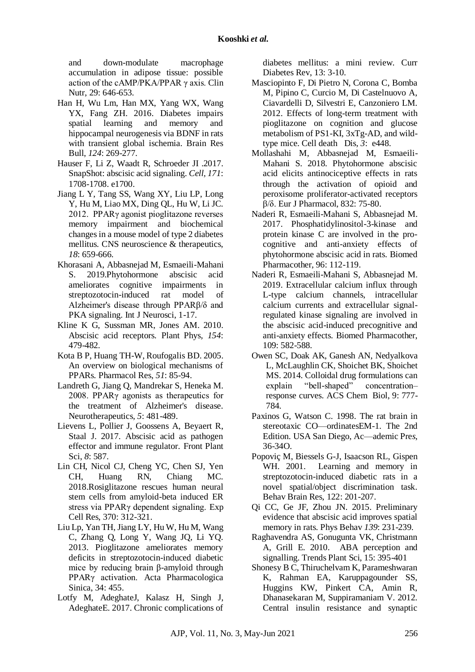and down-modulate macrophage accumulation in adipose tissue: possible action of the cAMP/PKA/PPAR γ axis. Clin Nutr, 29: 646-653.

- Han H, Wu Lm, Han MX, Yang WX, Wang YX, Fang ZH. 2016. Diabetes impairs spatial learning and memory and hippocampal neurogenesis via BDNF in rats with transient global ischemia. Brain Res Bull, *124*: 269-277.
- Hauser F, Li Z, Waadt R, Schroeder JI .2017. SnapShot: abscisic acid signaling. *Cell, 171*: 1708-1708. e1700.
- Jiang L Y, Tang SS, Wang XY, Liu LP, Long Y, Hu M, Liao MX, Ding QL, Hu W, Li JC. 2012. PPARγ agonist pioglitazone reverses memory impairment and biochemical changes in a mouse model of type 2 diabetes mellitus. CNS neuroscience & therapeutics, *18*: 659-666.
- Khorasani A, Abbasnejad M, Esmaeili-Mahani S. 2019.Phytohormone abscisic acid ameliorates cognitive impairments in streptozotocin-induced rat model of Alzheimer's disease through PPARβ/δ and PKA signaling. Int J Neurosci, 1-17.
- Kline K G, Sussman MR, Jones AM. 2010. Abscisic acid receptors. Plant Phys*, 154*: 479-482.
- Kota B P, Huang TH-W, Roufogalis BD. 2005. An overview on biological mechanisms of PPARs. Pharmacol Res, *51*: 85-94.
- Landreth G, Jiang Q, Mandrekar S, Heneka M. 2008. PPARγ agonists as therapeutics for the treatment of Alzheimer's disease. Neurotherapeutics*, 5*: 481-489.
- Lievens L, Pollier J, Goossens A, Beyaert R, Staal J. 2017. Abscisic acid as pathogen effector and immune regulator. Front Plant Sci, *8*: 587.
- Lin CH, Nicol CJ, Cheng YC, Chen SJ, Yen CH, Huang RN, Chiang MC. 2018.Rosiglitazone rescues human neural stem cells from amyloid-beta induced ER stress via PPARγ dependent signaling. Exp Cell Res, 370: 312-321.
- Liu Lp, Yan TH, Jiang LY, Hu W, Hu M, Wang C, Zhang Q, Long Y, Wang JQ, Li YQ. 2013. Pioglitazone ameliorates memory deficits in streptozotocin-induced diabetic mice by reducing brain β-amyloid through PPARγ activation. Acta Pharmacologica Sinica, 34: 455.
- Lotfy M, AdeghateJ, Kalasz H, Singh J, AdeghateE. 2017. Chronic complications of

diabetes mellitus: a mini review. Curr Diabetes Rev, 13: 3-10.

- Masciopinto F, Di Pietro N, Corona C, Bomba M, Pipino C, Curcio M, Di Castelnuovo A, Ciavardelli D, Silvestri E, Canzoniero LM. 2012. Effects of long-term treatment with pioglitazone on cognition and glucose metabolism of PS1-KI, 3xTg-AD, and wildtype mice. Cell death Dis*, 3*: e448.
- Mollashahi M, Abbasnejad M, Esmaeili-Mahani S. 2018. Phytohormone abscisic acid elicits antinociceptive effects in rats through the activation of opioid and peroxisome proliferator-activated receptors β/δ. Eur J Pharmacol, 832: 75-80.
- Naderi R, Esmaeili-Mahani S, Abbasnejad M. 2017. Phosphatidylinositol-3-kinase and protein kinase C are involved in the procognitive and anti-anxiety effects of phytohormone abscisic acid in rats. Biomed Pharmacother, 96: 112-119.
- Naderi R, Esmaeili-Mahani S, Abbasnejad M. 2019. Extracellular calcium influx through L-type calcium channels, intracellular calcium currents and extracellular signalregulated kinase signaling are involved in the abscisic acid-induced precognitive and anti-anxiety effects. Biomed Pharmacother, 109: 582-588.
- Owen SC, Doak AK, Ganesh AN, Nedyalkova L, McLaughlin CK, Shoichet BK, Shoichet MS. 2014. Colloidal drug formulations can explain "bell-shaped" concentration– response curves. ACS Chem Biol, 9: 777- 784.
- Paxinos G, Watson C. 1998. The rat brain in stereotaxic CO—ordinatesEM-1. The 2nd Edition. USA San Diego, Ac—ademic Pre*s*, 36-34O.
- Popoviç M, Biessels G-J, Isaacson RL, Gispen WH. 2001. Learning and memory in streptozotocin-induced diabetic rats in a novel spatial/object discrimination task. Behav Brain Res, 122: 201-207.
- Qi CC, Ge JF, Zhou JN. 2015. Preliminary evidence that abscisic acid improves spatial memory in rats. Phys Behav *139*: 231-239.
- Raghavendra AS, Gonugunta VK, Christmann A, Grill E. 2010. ABA perception and signalling. Trends Plant Sci, 15: 395-401
- Shonesy B C, Thiruchelvam K, Parameshwaran K, Rahman EA, Karuppagounder SS, Huggins KW, Pinkert CA, Amin R, Dhanasekaran M, Suppiramaniam V. 2012. Central insulin resistance and synaptic